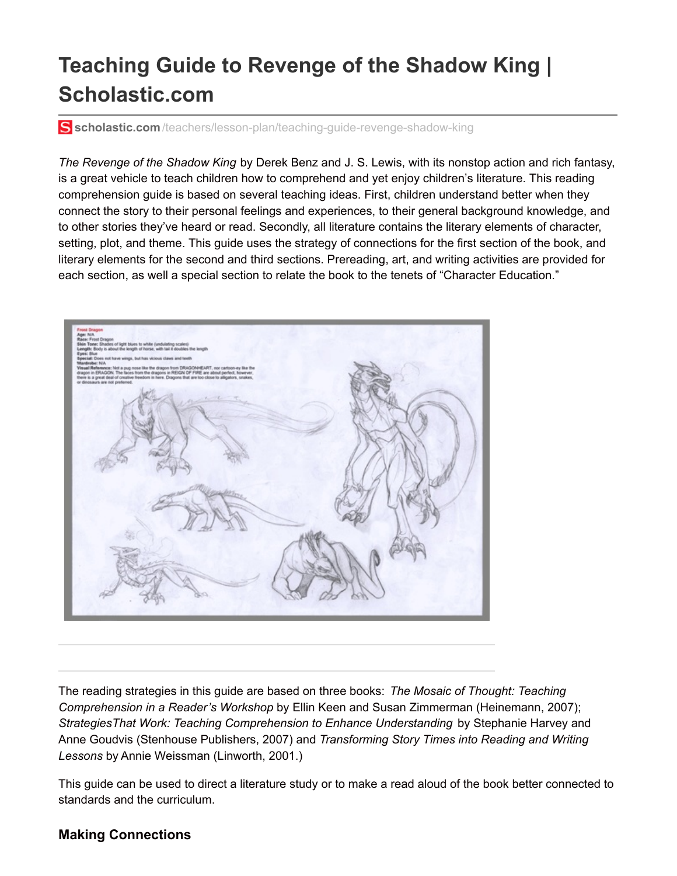# **Teaching Guide to Revenge of the Shadow King | Scholastic.com**

**scholastic.com**[/teachers/lesson-plan/teaching-guide-revenge-shadow-king](http://www.scholastic.com/teachers/lesson-plan/teaching-guide-revenge-shadow-king)

*The Revenge of the Shadow King* by Derek Benz and J. S. Lewis, with its nonstop action and rich fantasy, is a great vehicle to teach children how to comprehend and yet enjoy children's literature. This reading comprehension guide is based on several teaching ideas. First, children understand better when they connect the story to their personal feelings and experiences, to their general background knowledge, and to other stories they've heard or read. Secondly, all literature contains the literary elements of character, setting, plot, and theme. This guide uses the strategy of connections for the first section of the book, and literary elements for the second and third sections. Prereading, art, and writing activities are provided for each section, as well a special section to relate the book to the tenets of "Character Education."



The reading strategies in this guide are based on three books: *The Mosaic of Thought: Teaching Comprehension in a Reader's Workshop* by Ellin Keen and Susan Zimmerman (Heinemann, 2007); *StrategiesThat Work: Teaching Comprehension to Enhance Understanding* by Stephanie Harvey and Anne Goudvis (Stenhouse Publishers, 2007) and *Transforming Story Times into Reading and Writing Lessons* by Annie Weissman (Linworth, 2001.)

This guide can be used to direct a literature study or to make a read aloud of the book better connected to standards and the curriculum.

#### **Making Connections**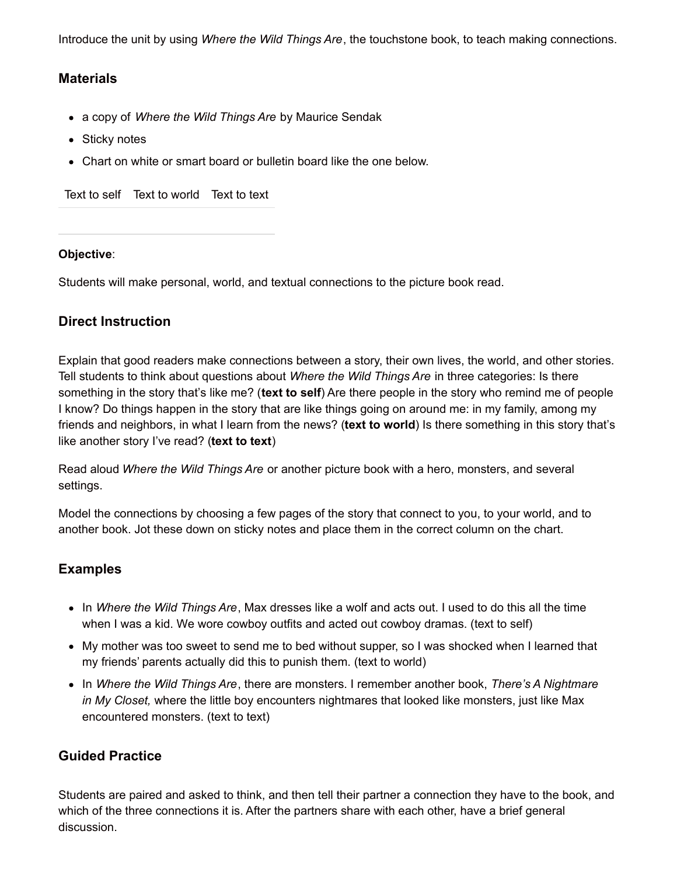Introduce the unit by using *Where the Wild Things Are*, the touchstone book, to teach making connections.

## **Materials**

- a copy of *Where the Wild Things Are* by Maurice Sendak
- Sticky notes
- Chart on white or smart board or bulletin board like the one below.

Text to self Text to world Text to text

#### **Objective**:

Students will make personal, world, and textual connections to the picture book read.

## **Direct Instruction**

Explain that good readers make connections between a story, their own lives, the world, and other stories. Tell students to think about questions about *Where the Wild Things Are* in three categories: Is there something in the story that's like me? (**text to self**) Are there people in the story who remind me of people I know? Do things happen in the story that are like things going on around me: in my family, among my friends and neighbors, in what I learn from the news? (**text to world**) Is there something in this story that's like another story I've read? (**text to text**)

Read aloud *Where the Wild Things Are* or another picture book with a hero, monsters, and several settings.

Model the connections by choosing a few pages of the story that connect to you, to your world, and to another book. Jot these down on sticky notes and place them in the correct column on the chart.

#### **Examples**

- In *Where the Wild Things Are*, Max dresses like a wolf and acts out. I used to do this all the time when I was a kid. We wore cowboy outfits and acted out cowboy dramas. (text to self)
- My mother was too sweet to send me to bed without supper, so I was shocked when I learned that my friends' parents actually did this to punish them. (text to world)
- In *Where the Wild Things Are*, there are monsters. I remember another book, *There's A Nightmare in My Closet,* where the little boy encounters nightmares that looked like monsters, just like Max encountered monsters. (text to text)

## **Guided Practice**

Students are paired and asked to think, and then tell their partner a connection they have to the book, and which of the three connections it is. After the partners share with each other, have a brief general discussion.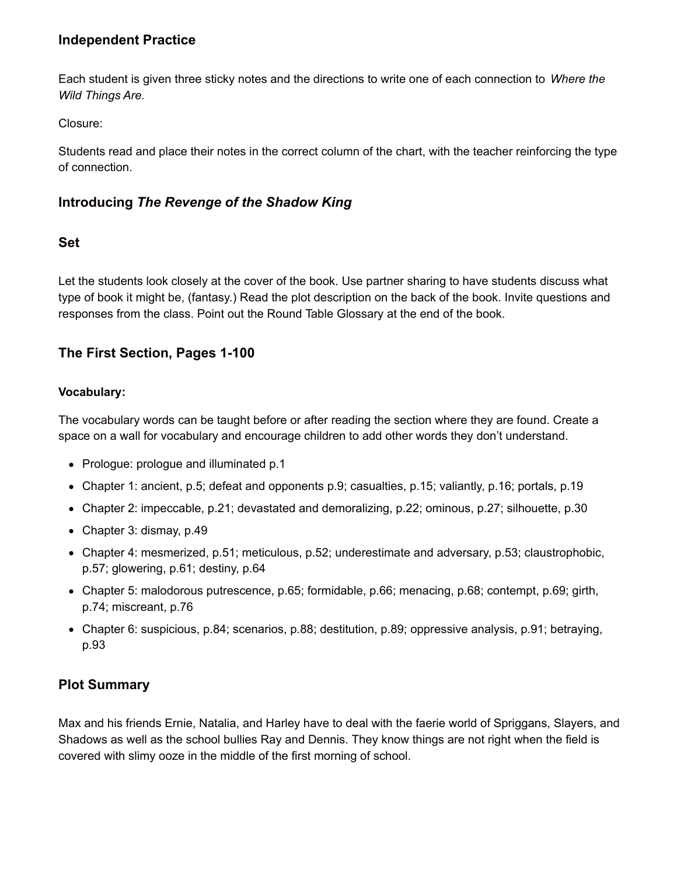## **Independent Practice**

Each student is given three sticky notes and the directions to write one of each connection to *Where the Wild Things Are.*

Closure:

Students read and place their notes in the correct column of the chart, with the teacher reinforcing the type of connection.

## **Introducing** *The Revenge of the Shadow King*

## **Set**

Let the students look closely at the cover of the book. Use partner sharing to have students discuss what type of book it might be, (fantasy.) Read the plot description on the back of the book. Invite questions and responses from the class. Point out the Round Table Glossary at the end of the book.

# **The First Section, Pages 1-100**

#### **Vocabulary:**

The vocabulary words can be taught before or after reading the section where they are found. Create a space on a wall for vocabulary and encourage children to add other words they don't understand.

- Prologue: prologue and illuminated p.1
- Chapter 1: ancient, p.5; defeat and opponents p.9; casualties, p.15; valiantly, p.16; portals, p.19
- Chapter 2: impeccable, p.21; devastated and demoralizing, p.22; ominous, p.27; silhouette, p.30
- Chapter 3: dismay, p.49
- Chapter 4: mesmerized, p.51; meticulous, p.52; underestimate and adversary, p.53; claustrophobic, p.57; glowering, p.61; destiny, p.64
- Chapter 5: malodorous putrescence, p.65; formidable, p.66; menacing, p.68; contempt, p.69; girth, p.74; miscreant, p.76
- Chapter 6: suspicious, p.84; scenarios, p.88; destitution, p.89; oppressive analysis, p.91; betraying, p.93

## **Plot Summary**

Max and his friends Ernie, Natalia, and Harley have to deal with the faerie world of Spriggans, Slayers, and Shadows as well as the school bullies Ray and Dennis. They know things are not right when the field is covered with slimy ooze in the middle of the first morning of school.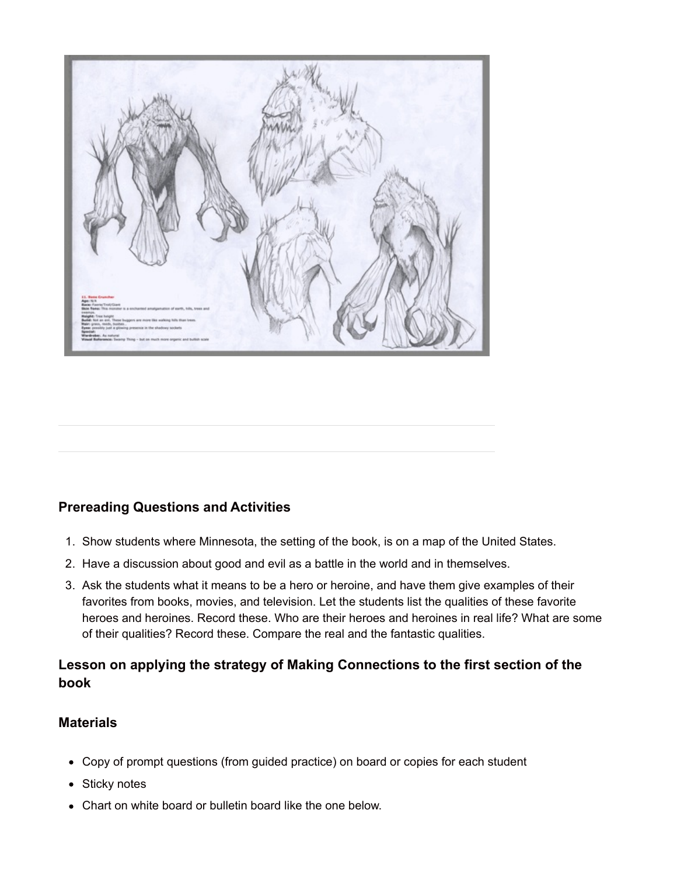

## **Prereading Questions and Activities**

- 1. Show students where Minnesota, the setting of the book, is on a map of the United States.
- 2. Have a discussion about good and evil as a battle in the world and in themselves.
- 3. Ask the students what it means to be a hero or heroine, and have them give examples of their favorites from books, movies, and television. Let the students list the qualities of these favorite heroes and heroines. Record these. Who are their heroes and heroines in real life? What are some of their qualities? Record these. Compare the real and the fantastic qualities.

# **Lesson on applying the strategy of Making Connections to the first section of the book**

#### **Materials**

- Copy of prompt questions (from guided practice) on board or copies for each student
- Sticky notes
- Chart on white board or bulletin board like the one below.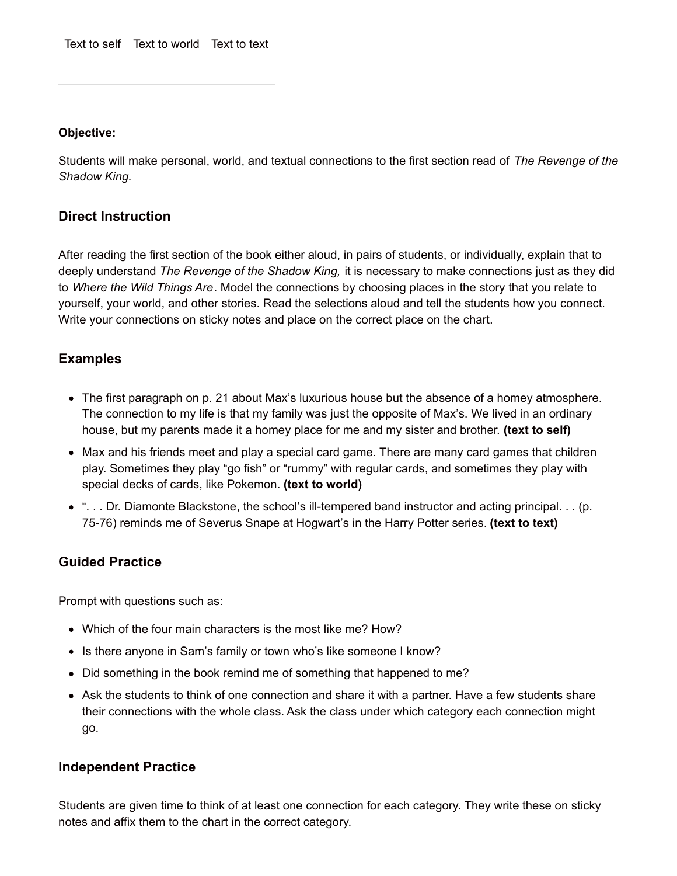#### **Objective:**

Students will make personal, world, and textual connections to the first section read of *The Revenge of the Shadow King.*

#### **Direct Instruction**

After reading the first section of the book either aloud, in pairs of students, or individually, explain that to deeply understand *The Revenge of the Shadow King,* it is necessary to make connections just as they did to *Where the Wild Things Are*. Model the connections by choosing places in the story that you relate to yourself, your world, and other stories. Read the selections aloud and tell the students how you connect. Write your connections on sticky notes and place on the correct place on the chart.

#### **Examples**

- The first paragraph on p. 21 about Max's luxurious house but the absence of a homey atmosphere. The connection to my life is that my family was just the opposite of Max's. We lived in an ordinary house, but my parents made it a homey place for me and my sister and brother. **(text to self)**
- Max and his friends meet and play a special card game. There are many card games that children play. Sometimes they play "go fish" or "rummy" with regular cards, and sometimes they play with special decks of cards, like Pokemon. **(text to world)**
- ". . . Dr. Diamonte Blackstone, the school's ill-tempered band instructor and acting principal. . . (p. 75-76) reminds me of Severus Snape at Hogwart's in the Harry Potter series. **(text to text)**

#### **Guided Practice**

Prompt with questions such as:

- Which of the four main characters is the most like me? How?
- Is there anyone in Sam's family or town who's like someone I know?
- Did something in the book remind me of something that happened to me?
- Ask the students to think of one connection and share it with a partner. Have a few students share their connections with the whole class. Ask the class under which category each connection might go.

#### **Independent Practice**

Students are given time to think of at least one connection for each category. They write these on sticky notes and affix them to the chart in the correct category.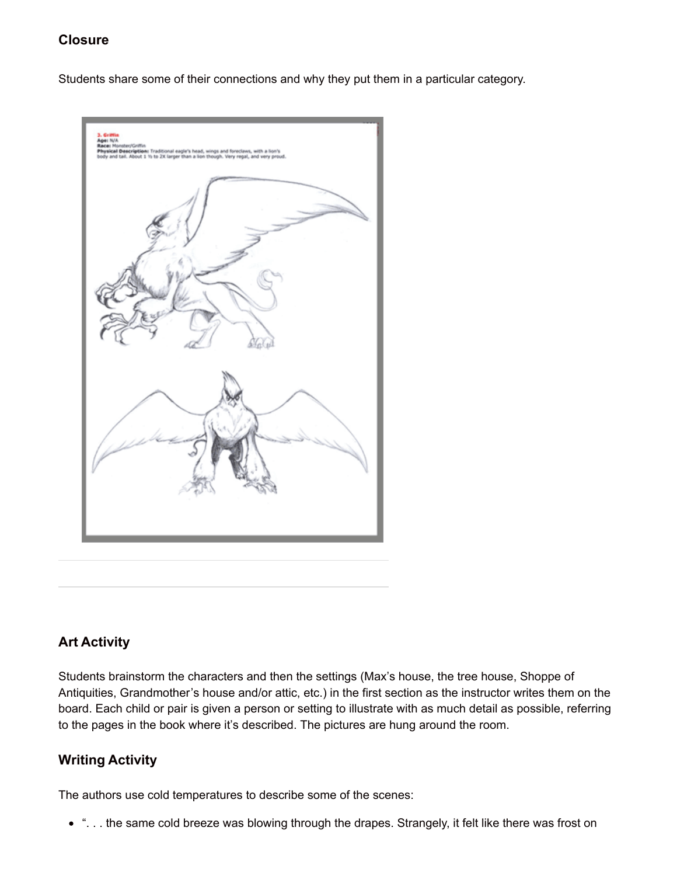## **Closure**

Students share some of their connections and why they put them in a particular category.



## **Art Activity**

Students brainstorm the characters and then the settings (Max's house, the tree house, Shoppe of Antiquities, Grandmother's house and/or attic, etc.) in the first section as the instructor writes them on the board. Each child or pair is given a person or setting to illustrate with as much detail as possible, referring to the pages in the book where it's described. The pictures are hung around the room.

## **Writing Activity**

The authors use cold temperatures to describe some of the scenes:

". . . the same cold breeze was blowing through the drapes. Strangely, it felt like there was frost on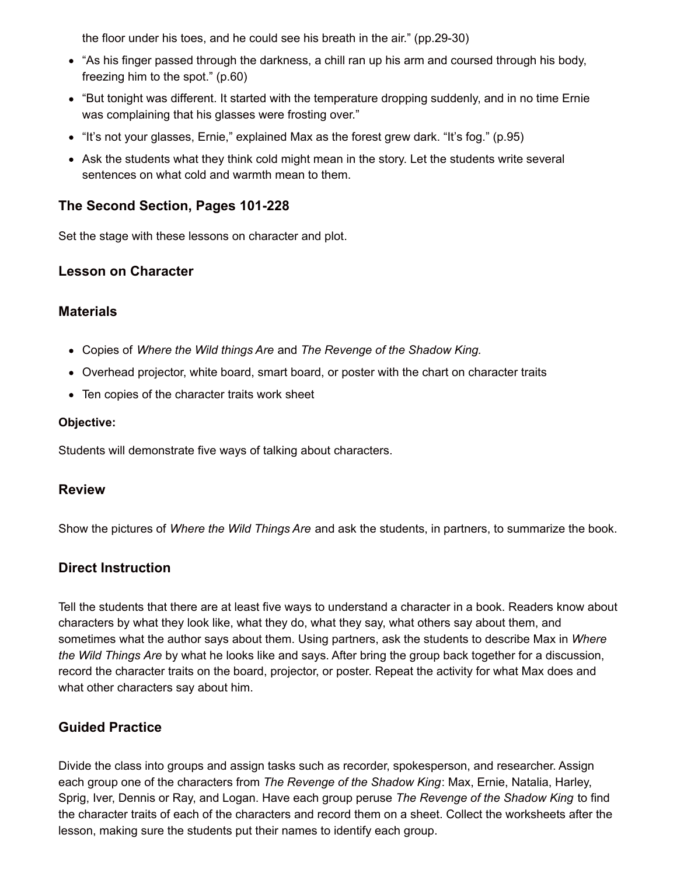the floor under his toes, and he could see his breath in the air." (pp.29-30)

- "As his finger passed through the darkness, a chill ran up his arm and coursed through his body, freezing him to the spot." (p.60)
- "But tonight was different. It started with the temperature dropping suddenly, and in no time Ernie was complaining that his glasses were frosting over."
- "It's not your glasses, Ernie," explained Max as the forest grew dark. "It's fog." (p.95)
- Ask the students what they think cold might mean in the story. Let the students write several sentences on what cold and warmth mean to them.

## **The Second Section, Pages 101-228**

Set the stage with these lessons on character and plot.

## **Lesson on Character**

#### **Materials**

- Copies of *Where the Wild things Are* and *The Revenge of the Shadow King.*
- Overhead projector, white board, smart board, or poster with the chart on character traits
- Ten copies of the character traits work sheet

#### **Objective:**

Students will demonstrate five ways of talking about characters.

#### **Review**

Show the pictures of *Where the Wild Things Are* and ask the students, in partners, to summarize the book.

## **Direct Instruction**

Tell the students that there are at least five ways to understand a character in a book. Readers know about characters by what they look like, what they do, what they say, what others say about them, and sometimes what the author says about them. Using partners, ask the students to describe Max in *Where the Wild Things Are* by what he looks like and says. After bring the group back together for a discussion, record the character traits on the board, projector, or poster. Repeat the activity for what Max does and what other characters say about him.

## **Guided Practice**

Divide the class into groups and assign tasks such as recorder, spokesperson, and researcher. Assign each group one of the characters from *The Revenge of the Shadow King*: Max, Ernie, Natalia, Harley, Sprig, Iver, Dennis or Ray, and Logan. Have each group peruse *The Revenge of the Shadow King* to find the character traits of each of the characters and record them on a sheet. Collect the worksheets after the lesson, making sure the students put their names to identify each group.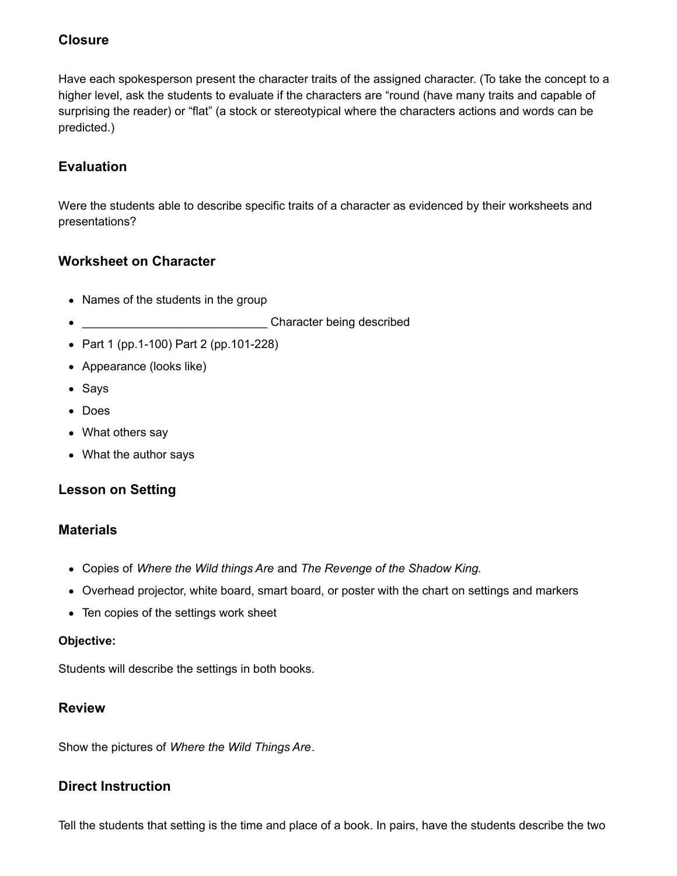## **Closure**

Have each spokesperson present the character traits of the assigned character. (To take the concept to a higher level, ask the students to evaluate if the characters are "round (have many traits and capable of surprising the reader) or "flat" (a stock or stereotypical where the characters actions and words can be predicted.)

# **Evaluation**

Were the students able to describe specific traits of a character as evidenced by their worksheets and presentations?

## **Worksheet on Character**

- Names of the students in the group
- \_\_\_\_\_\_\_\_\_\_\_\_\_\_\_\_\_\_\_\_\_\_\_\_\_\_\_\_ Character being described
- Part 1 (pp.1-100) Part 2 (pp.101-228)
- Appearance (looks like)
- Says
- Does
- What others say
- What the author says

## **Lesson on Setting**

#### **Materials**

- Copies of *Where the Wild things Are* and *The Revenge of the Shadow King.*
- Overhead projector, white board, smart board, or poster with the chart on settings and markers
- Ten copies of the settings work sheet

#### **Objective:**

Students will describe the settings in both books.

#### **Review**

Show the pictures of *Where the Wild Things Are*.

#### **Direct Instruction**

Tell the students that setting is the time and place of a book. In pairs, have the students describe the two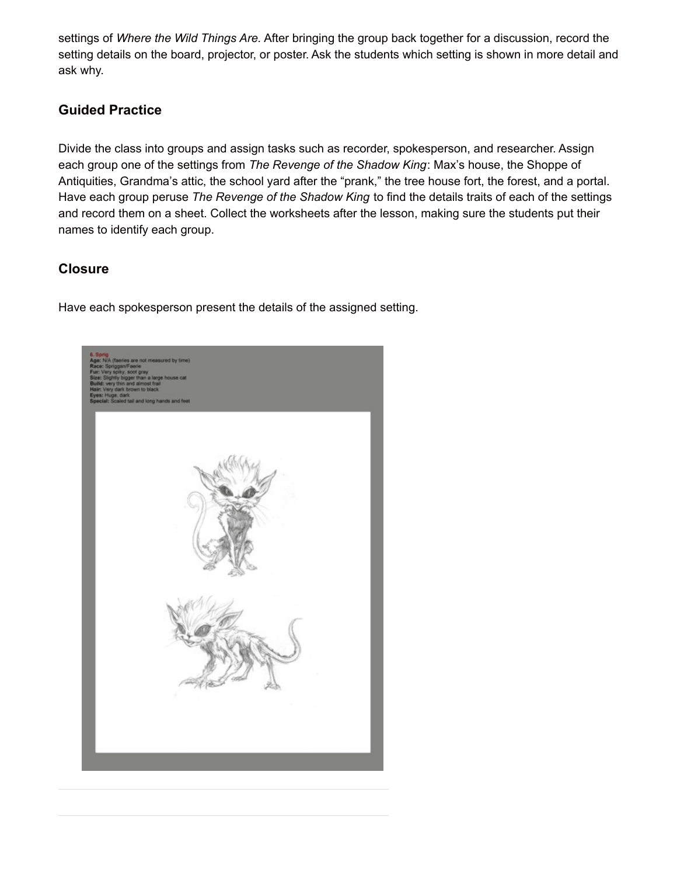settings of *Where the Wild Things Are.* After bringing the group back together for a discussion, record the setting details on the board, projector, or poster. Ask the students which setting is shown in more detail and ask why.

## **Guided Practice**

Divide the class into groups and assign tasks such as recorder, spokesperson, and researcher. Assign each group one of the settings from *The Revenge of the Shadow King*: Max's house, the Shoppe of Antiquities, Grandma's attic, the school yard after the "prank," the tree house fort, the forest, and a portal. Have each group peruse *The Revenge of the Shadow King* to find the details traits of each of the settings and record them on a sheet. Collect the worksheets after the lesson, making sure the students put their names to identify each group.

## **Closure**

Have each spokesperson present the details of the assigned setting.

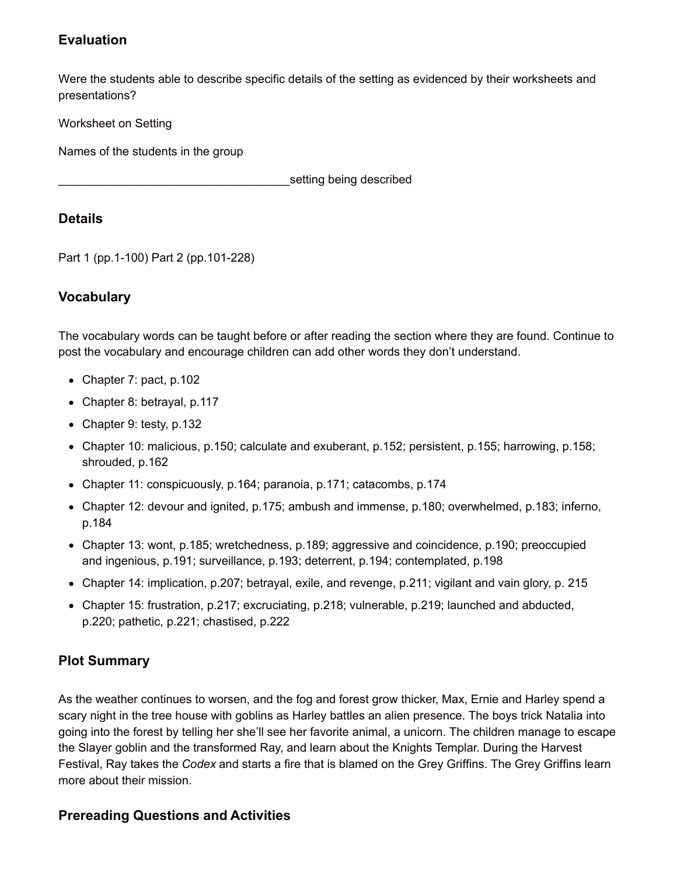## **Evaluation**

Were the students able to describe specific details of the setting as evidenced by their worksheets and presentations?

Worksheet on Setting

Names of the students in the group

setting being described

#### **Details**

Part 1 (pp.1-100) Part 2 (pp.101-228)

## **Vocabulary**

The vocabulary words can be taught before or after reading the section where they are found. Continue to post the vocabulary and encourage children can add other words they don't understand.

- Chapter 7: pact, p.102
- Chapter 8: betrayal, p.117
- Chapter 9: testy, p.132
- Chapter 10: malicious, p.150; calculate and exuberant, p.152; persistent, p.155; harrowing, p.158; shrouded, p.162
- Chapter 11: conspicuously, p.164; paranoia, p.171; catacombs, p.174
- Chapter 12: devour and ignited, p.175; ambush and immense, p.180; overwhelmed, p.183; inferno, p.184
- Chapter 13: wont, p.185; wretchedness, p.189; aggressive and coincidence, p.190; preoccupied and ingenious, p.191; surveillance, p.193; deterrent, p.194; contemplated, p.198
- Chapter 14: implication, p.207; betrayal, exile, and revenge, p.211; vigilant and vain glory, p. 215
- Chapter 15: frustration, p.217; excruciating, p.218; vulnerable, p.219; launched and abducted, p.220; pathetic, p.221; chastised, p.222

## **Plot Summary**

As the weather continues to worsen, and the fog and forest grow thicker, Max, Ernie and Harley spend a scary night in the tree house with goblins as Harley battles an alien presence. The boys trick Natalia into going into the forest by telling her she'll see her favorite animal, a unicorn. The children manage to escape the Slayer goblin and the transformed Ray, and learn about the Knights Templar. During the Harvest Festival, Ray takes the *Codex* and starts a fire that is blamed on the Grey Griffins. The Grey Griffins learn more about their mission.

## **Prereading Questions and Activities**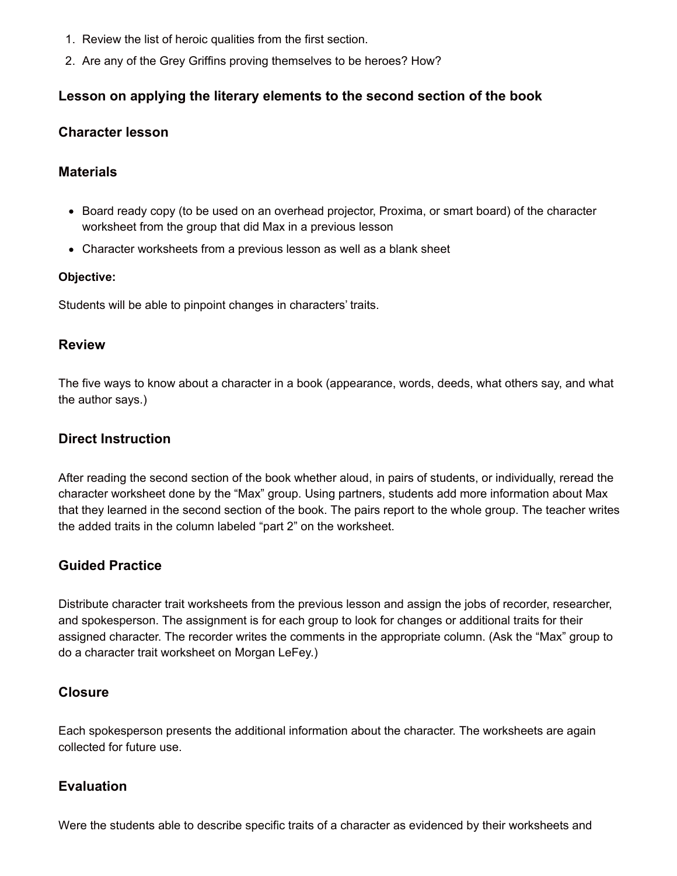- 1. Review the list of heroic qualities from the first section.
- 2. Are any of the Grey Griffins proving themselves to be heroes? How?

## **Lesson on applying the literary elements to the second section of the book**

#### **Character lesson**

#### **Materials**

- Board ready copy (to be used on an overhead projector, Proxima, or smart board) of the character worksheet from the group that did Max in a previous lesson
- Character worksheets from a previous lesson as well as a blank sheet

#### **Objective:**

Students will be able to pinpoint changes in characters' traits.

#### **Review**

The five ways to know about a character in a book (appearance, words, deeds, what others say, and what the author says.)

#### **Direct Instruction**

After reading the second section of the book whether aloud, in pairs of students, or individually, reread the character worksheet done by the "Max" group. Using partners, students add more information about Max that they learned in the second section of the book. The pairs report to the whole group. The teacher writes the added traits in the column labeled "part 2" on the worksheet.

#### **Guided Practice**

Distribute character trait worksheets from the previous lesson and assign the jobs of recorder, researcher, and spokesperson. The assignment is for each group to look for changes or additional traits for their assigned character. The recorder writes the comments in the appropriate column. (Ask the "Max" group to do a character trait worksheet on Morgan LeFey.)

#### **Closure**

Each spokesperson presents the additional information about the character. The worksheets are again collected for future use.

#### **Evaluation**

Were the students able to describe specific traits of a character as evidenced by their worksheets and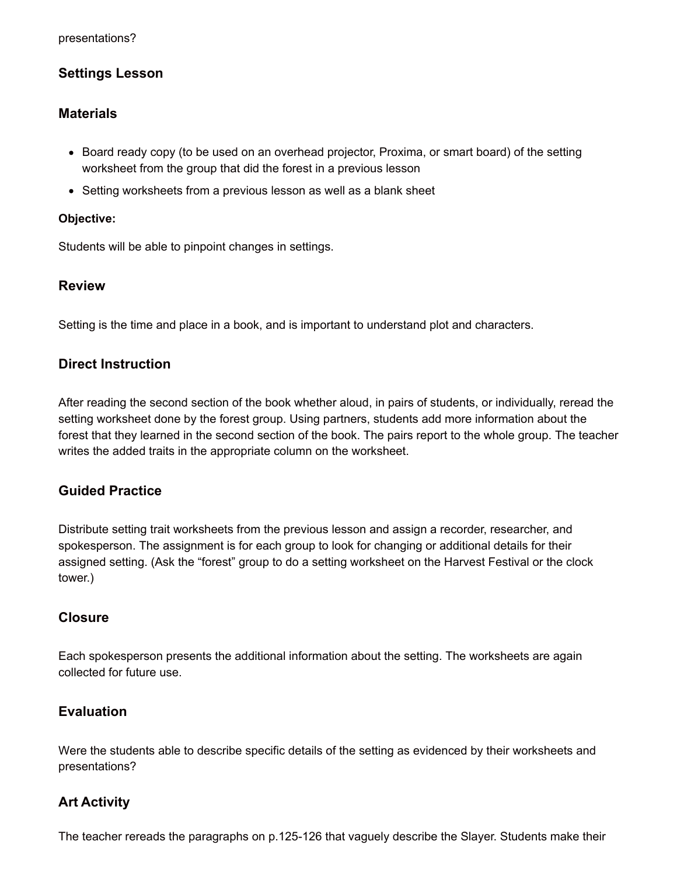## **Settings Lesson**

#### **Materials**

- Board ready copy (to be used on an overhead projector, Proxima, or smart board) of the setting worksheet from the group that did the forest in a previous lesson
- Setting worksheets from a previous lesson as well as a blank sheet

#### **Objective:**

Students will be able to pinpoint changes in settings.

#### **Review**

Setting is the time and place in a book, and is important to understand plot and characters.

#### **Direct Instruction**

After reading the second section of the book whether aloud, in pairs of students, or individually, reread the setting worksheet done by the forest group. Using partners, students add more information about the forest that they learned in the second section of the book. The pairs report to the whole group. The teacher writes the added traits in the appropriate column on the worksheet.

#### **Guided Practice**

Distribute setting trait worksheets from the previous lesson and assign a recorder, researcher, and spokesperson. The assignment is for each group to look for changing or additional details for their assigned setting. (Ask the "forest" group to do a setting worksheet on the Harvest Festival or the clock tower.)

#### **Closure**

Each spokesperson presents the additional information about the setting. The worksheets are again collected for future use.

#### **Evaluation**

Were the students able to describe specific details of the setting as evidenced by their worksheets and presentations?

#### **Art Activity**

The teacher rereads the paragraphs on p.125-126 that vaguely describe the Slayer. Students make their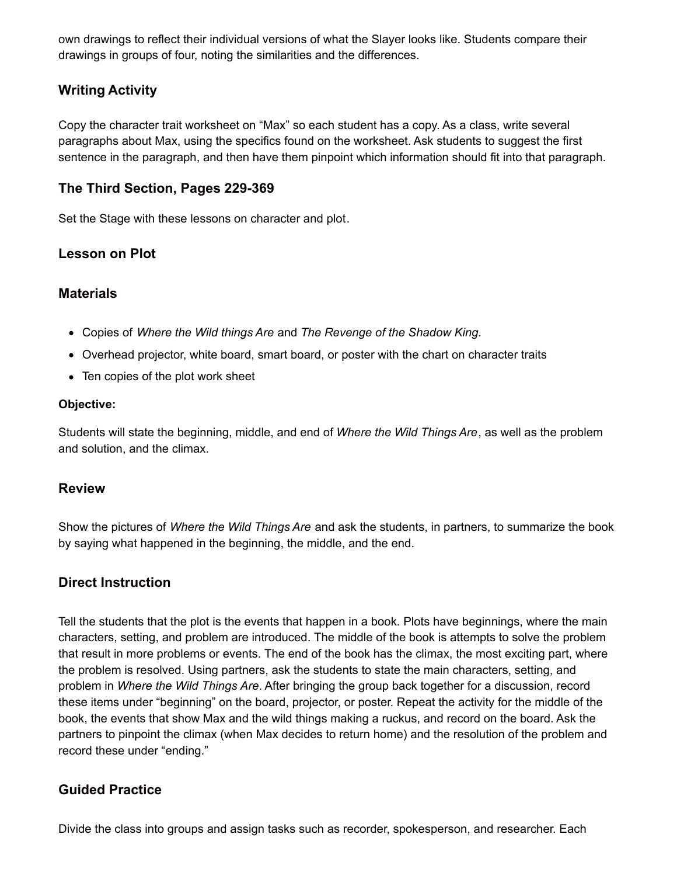own drawings to reflect their individual versions of what the Slayer looks like. Students compare their drawings in groups of four, noting the similarities and the differences.

## **Writing Activity**

Copy the character trait worksheet on "Max" so each student has a copy. As a class, write several paragraphs about Max, using the specifics found on the worksheet. Ask students to suggest the first sentence in the paragraph, and then have them pinpoint which information should fit into that paragraph.

## **The Third Section, Pages 229-369**

Set the Stage with these lessons on character and plot.

## **Lesson on Plot**

#### **Materials**

- Copies of *Where the Wild things Are* and *The Revenge of the Shadow King.*
- Overhead projector, white board, smart board, or poster with the chart on character traits
- Ten copies of the plot work sheet

#### **Objective:**

Students will state the beginning, middle, and end of *Where the Wild Things Are*, as well as the problem and solution, and the climax.

#### **Review**

Show the pictures of *Where the Wild Things Are* and ask the students, in partners, to summarize the book by saying what happened in the beginning, the middle, and the end.

#### **Direct Instruction**

Tell the students that the plot is the events that happen in a book. Plots have beginnings, where the main characters, setting, and problem are introduced. The middle of the book is attempts to solve the problem that result in more problems or events. The end of the book has the climax, the most exciting part, where the problem is resolved. Using partners, ask the students to state the main characters, setting, and problem in *Where the Wild Things Are*. After bringing the group back together for a discussion, record these items under "beginning" on the board, projector, or poster. Repeat the activity for the middle of the book, the events that show Max and the wild things making a ruckus, and record on the board. Ask the partners to pinpoint the climax (when Max decides to return home) and the resolution of the problem and record these under "ending."

#### **Guided Practice**

Divide the class into groups and assign tasks such as recorder, spokesperson, and researcher. Each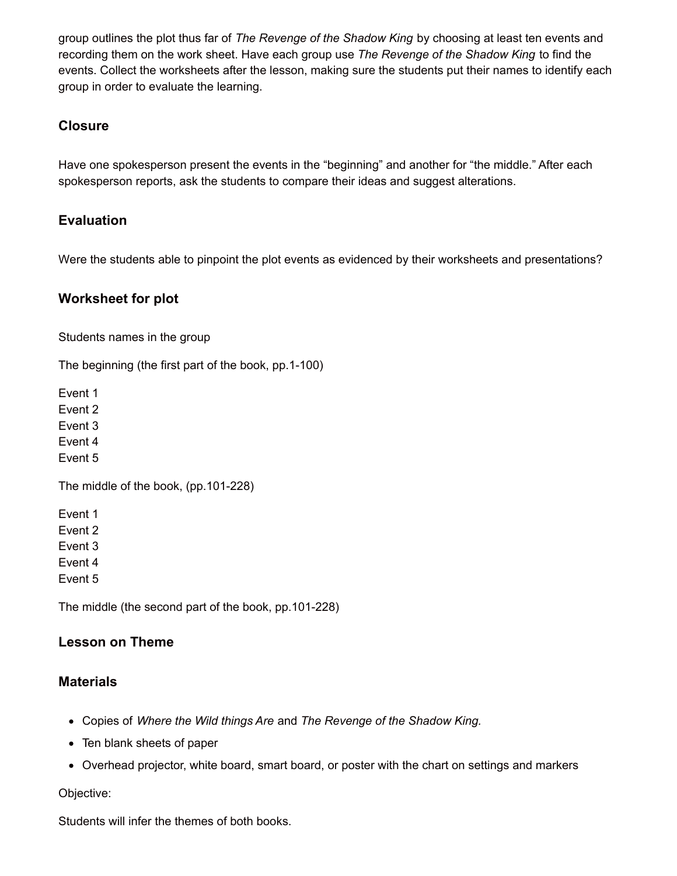group outlines the plot thus far of *The Revenge of the Shadow King* by choosing at least ten events and recording them on the work sheet. Have each group use *The Revenge of the Shadow King* to find the events. Collect the worksheets after the lesson, making sure the students put their names to identify each group in order to evaluate the learning.

## **Closure**

Have one spokesperson present the events in the "beginning" and another for "the middle." After each spokesperson reports, ask the students to compare their ideas and suggest alterations.

## **Evaluation**

Were the students able to pinpoint the plot events as evidenced by their worksheets and presentations?

## **Worksheet for plot**

Students names in the group

The beginning (the first part of the book, pp.1-100)

Event 1

Event 2

Event 3

Event 4 Event 5

The middle of the book, (pp.101-228)

Event 1 Event 2 Event 3 Event 4 Event 5

The middle (the second part of the book, pp.101-228)

## **Lesson on Theme**

## **Materials**

- Copies of *Where the Wild things Are* and *The Revenge of the Shadow King.*
- Ten blank sheets of paper
- Overhead projector, white board, smart board, or poster with the chart on settings and markers

Objective:

Students will infer the themes of both books.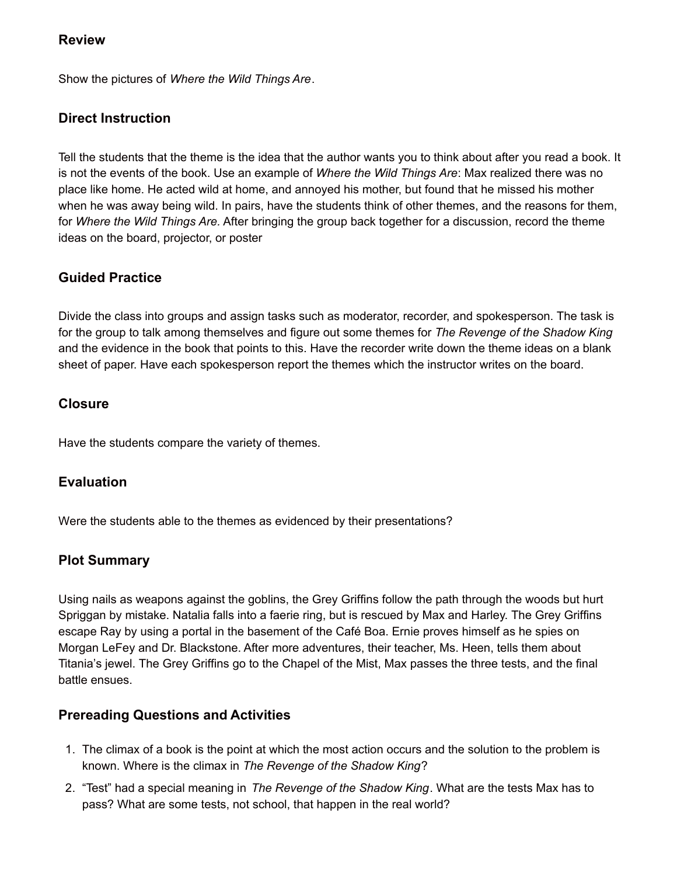## **Review**

Show the pictures of *Where the Wild Things Are*.

# **Direct Instruction**

Tell the students that the theme is the idea that the author wants you to think about after you read a book. It is not the events of the book. Use an example of *Where the Wild Things Are*: Max realized there was no place like home. He acted wild at home, and annoyed his mother, but found that he missed his mother when he was away being wild. In pairs, have the students think of other themes, and the reasons for them, for *Where the Wild Things Are.* After bringing the group back together for a discussion, record the theme ideas on the board, projector, or poster

# **Guided Practice**

Divide the class into groups and assign tasks such as moderator, recorder, and spokesperson. The task is for the group to talk among themselves and figure out some themes for *The Revenge of the Shadow King* and the evidence in the book that points to this. Have the recorder write down the theme ideas on a blank sheet of paper. Have each spokesperson report the themes which the instructor writes on the board.

## **Closure**

Have the students compare the variety of themes.

## **Evaluation**

Were the students able to the themes as evidenced by their presentations?

## **Plot Summary**

Using nails as weapons against the goblins, the Grey Griffins follow the path through the woods but hurt Spriggan by mistake. Natalia falls into a faerie ring, but is rescued by Max and Harley. The Grey Griffins escape Ray by using a portal in the basement of the Café Boa. Ernie proves himself as he spies on Morgan LeFey and Dr. Blackstone. After more adventures, their teacher, Ms. Heen, tells them about Titania's jewel. The Grey Griffins go to the Chapel of the Mist, Max passes the three tests, and the final battle ensues.

## **Prereading Questions and Activities**

- 1. The climax of a book is the point at which the most action occurs and the solution to the problem is known. Where is the climax in *The Revenge of the Shadow King*?
- 2. "Test" had a special meaning in *The Revenge of the Shadow King*. What are the tests Max has to pass? What are some tests, not school, that happen in the real world?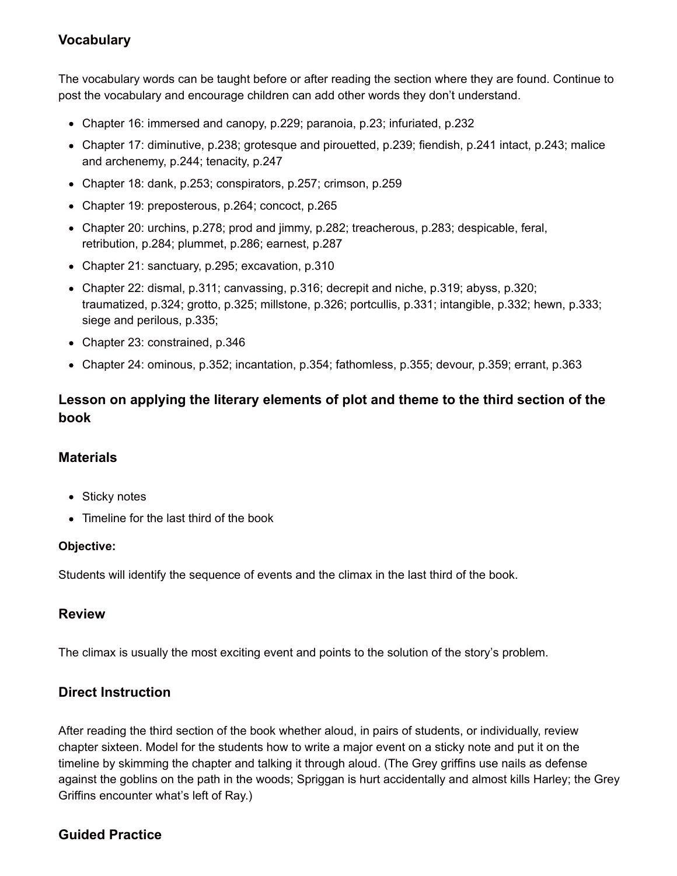# **Vocabulary**

The vocabulary words can be taught before or after reading the section where they are found. Continue to post the vocabulary and encourage children can add other words they don't understand.

- Chapter 16: immersed and canopy, p.229; paranoia, p.23; infuriated, p.232
- Chapter 17: diminutive, p.238; grotesque and pirouetted, p.239; fiendish, p.241 intact, p.243; malice and archenemy, p.244; tenacity, p.247
- Chapter 18: dank, p.253; conspirators, p.257; crimson, p.259
- Chapter 19: preposterous, p.264; concoct, p.265
- Chapter 20: urchins, p.278; prod and jimmy, p.282; treacherous, p.283; despicable, feral, retribution, p.284; plummet, p.286; earnest, p.287
- Chapter 21: sanctuary, p.295; excavation, p.310
- Chapter 22: dismal, p.311; canvassing, p.316; decrepit and niche, p.319; abyss, p.320; traumatized, p.324; grotto, p.325; millstone, p.326; portcullis, p.331; intangible, p.332; hewn, p.333; siege and perilous, p.335;
- Chapter 23: constrained, p.346
- Chapter 24: ominous, p.352; incantation, p.354; fathomless, p.355; devour, p.359; errant, p.363

## **Lesson on applying the literary elements of plot and theme to the third section of the book**

#### **Materials**

- Sticky notes
- Timeline for the last third of the book

#### **Objective:**

Students will identify the sequence of events and the climax in the last third of the book.

#### **Review**

The climax is usually the most exciting event and points to the solution of the story's problem.

## **Direct Instruction**

After reading the third section of the book whether aloud, in pairs of students, or individually, review chapter sixteen. Model for the students how to write a major event on a sticky note and put it on the timeline by skimming the chapter and talking it through aloud. (The Grey griffins use nails as defense against the goblins on the path in the woods; Spriggan is hurt accidentally and almost kills Harley; the Grey Griffins encounter what's left of Ray.)

## **Guided Practice**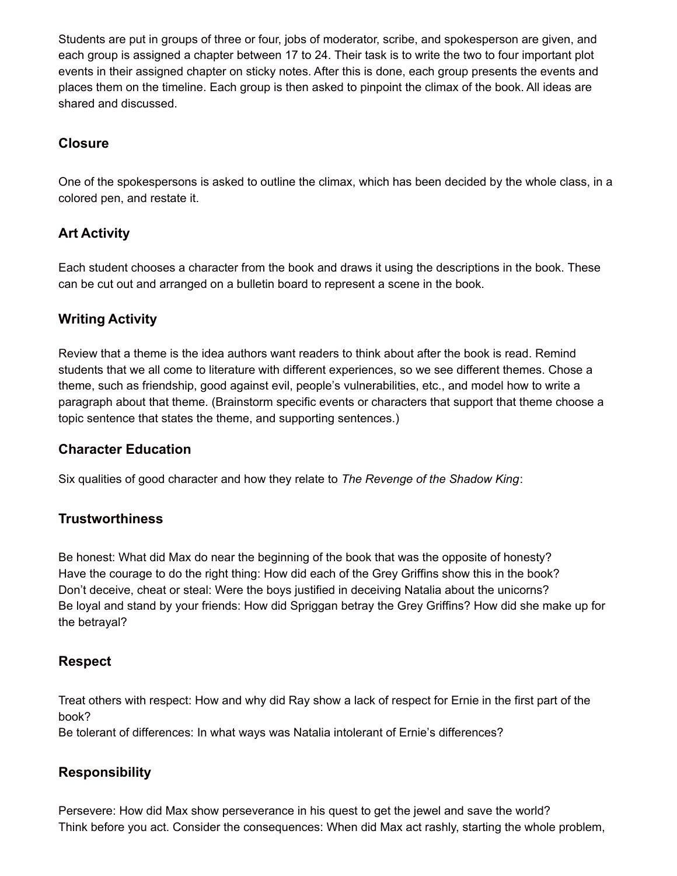Students are put in groups of three or four, jobs of moderator, scribe, and spokesperson are given, and each group is assigned a chapter between 17 to 24. Their task is to write the two to four important plot events in their assigned chapter on sticky notes. After this is done, each group presents the events and places them on the timeline. Each group is then asked to pinpoint the climax of the book. All ideas are shared and discussed.

## **Closure**

One of the spokespersons is asked to outline the climax, which has been decided by the whole class, in a colored pen, and restate it.

# **Art Activity**

Each student chooses a character from the book and draws it using the descriptions in the book. These can be cut out and arranged on a bulletin board to represent a scene in the book.

# **Writing Activity**

Review that a theme is the idea authors want readers to think about after the book is read. Remind students that we all come to literature with different experiences, so we see different themes. Chose a theme, such as friendship, good against evil, people's vulnerabilities, etc., and model how to write a paragraph about that theme. (Brainstorm specific events or characters that support that theme choose a topic sentence that states the theme, and supporting sentences.)

## **Character Education**

Six qualities of good character and how they relate to *The Revenge of the Shadow King*:

## **Trustworthiness**

Be honest: What did Max do near the beginning of the book that was the opposite of honesty? Have the courage to do the right thing: How did each of the Grey Griffins show this in the book? Don't deceive, cheat or steal: Were the boys justified in deceiving Natalia about the unicorns? Be loyal and stand by your friends: How did Spriggan betray the Grey Griffins? How did she make up for the betrayal?

## **Respect**

Treat others with respect: How and why did Ray show a lack of respect for Ernie in the first part of the book?

Be tolerant of differences: In what ways was Natalia intolerant of Ernie's differences?

## **Responsibility**

Persevere: How did Max show perseverance in his quest to get the jewel and save the world? Think before you act. Consider the consequences: When did Max act rashly, starting the whole problem,